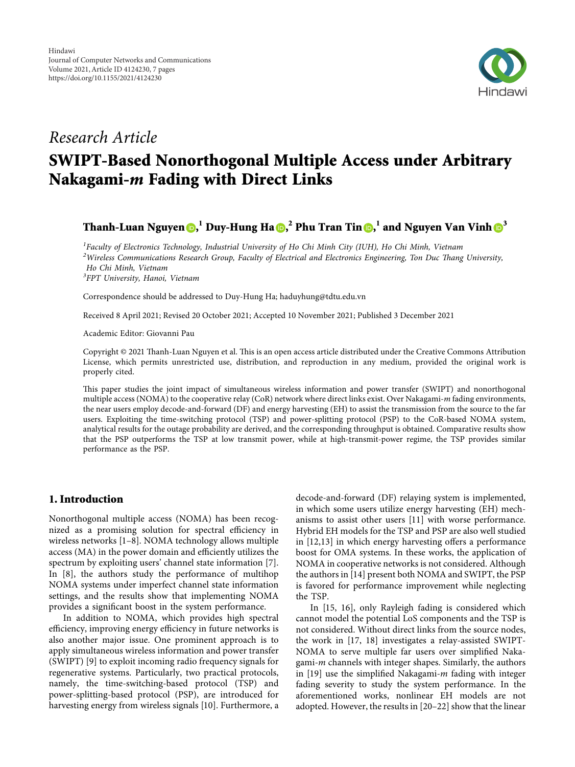

## *Research Article*

# **SWIPT-Based Nonorthogonal Multiple Access under Arbitrary Nakagami-***m* **Fading with Direct Links**

**Thanh-Luan Nguyen [,](https://orcid.org/0000-0002-9781-3221) <sup>1</sup> Duy-Hung Ha , <sup>2</sup> Phu Tran Tin [,](https://orcid.org/0000-0002-5793-4627) <sup>1</sup> and Nguyen Van Vinh [3](https://orcid.org/0000-0003-2648-6902)**

*1 Faculty of Electronics Technology, Industrial University of Ho Chi Minh City (IUH), Ho Chi Minh, Vietnam* <sup>2</sup>Wireless Communications Research Group, Faculty of Electrical and Electronics Engineering, Ton Duc Thang University, *Ho Chi Minh, Vietnam 3 FPT University, Hanoi, Vietnam*

Correspondence should be addressed to Duy-Hung Ha; [haduyhung@tdtu.edu.vn](mailto:haduyhung@tdtu.edu.vn)

Received 8 April 2021; Revised 20 October 2021; Accepted 10 November 2021; Published 3 December 2021

Academic Editor: Giovanni Pau

Copyright © 2021 Thanh-Luan Nguyen et al. This is an open access article distributed under the [Creative Commons Attribution](https://creativecommons.org/licenses/by/4.0/) [License,](https://creativecommons.org/licenses/by/4.0/) which permits unrestricted use, distribution, and reproduction in any medium, provided the original work is properly cited.

This paper studies the joint impact of simultaneous wireless information and power transfer (SWIPT) and nonorthogonal multiple access (NOMA) to the cooperative relay (CoR) network where direct links exist. Over Nakagami-*m* fading environments, the near users employ decode-and-forward (DF) and energy harvesting (EH) to assist the transmission from the source to the far users. Exploiting the time-switching protocol (TSP) and power-splitting protocol (PSP) to the CoR-based NOMA system, analytical results for the outage probability are derived, and the corresponding throughput is obtained. Comparative results show that the PSP outperforms the TSP at low transmit power, while at high-transmit-power regime, the TSP provides similar performance as the PSP.

## **1. Introduction**

Nonorthogonal multiple access (NOMA) has been recognized as a promising solution for spectral efficiency in wireless networks [[1–8](#page-5-0)]. NOMA technology allows multiple access (MA) in the power domain and efficiently utilizes the spectrum by exploiting users' channel state information [[7](#page-5-0)]. In [[8](#page-5-0)], the authors study the performance of multihop NOMA systems under imperfect channel state information settings, and the results show that implementing NOMA provides a significant boost in the system performance.

In addition to NOMA, which provides high spectral efficiency, improving energy efficiency in future networks is also another major issue. One prominent approach is to apply simultaneous wireless information and power transfer (SWIPT) [\[9\]](#page-5-0) to exploit incoming radio frequency signals for regenerative systems. Particularly, two practical protocols, namely, the time-switching-based protocol (TSP) and power-splitting-based protocol (PSP), are introduced for harvesting energy from wireless signals [\[10](#page-5-0)]. Furthermore, a decode-and-forward (DF) relaying system is implemented, in which some users utilize energy harvesting (EH) mechanisms to assist other users [\[11](#page-5-0)] with worse performance. Hybrid EH models for the TSP and PSP are also well studied in [[12,13\]](#page-5-0) in which energy harvesting offers a performance boost for OMA systems. In these works, the application of NOMA in cooperative networks is not considered. Although the authors in [\[14](#page-5-0)] present both NOMA and SWIPT, the PSP is favored for performance improvement while neglecting the TSP.

In [\[15, 16\]](#page-5-0), only Rayleigh fading is considered which cannot model the potential LoS components and the TSP is not considered. Without direct links from the source nodes, the work in [\[17](#page-5-0), [18](#page-5-0)] investigates a relay-assisted SWIPT-NOMA to serve multiple far users over simplified Nakagami-*m* channels with integer shapes. Similarly, the authors in [[19\]](#page-5-0) use the simplified Nakagami-*m* fading with integer fading severity to study the system performance. In the aforementioned works, nonlinear EH models are not adopted. However, the results in [[20](#page-5-0)–[22](#page-6-0)] show that the linear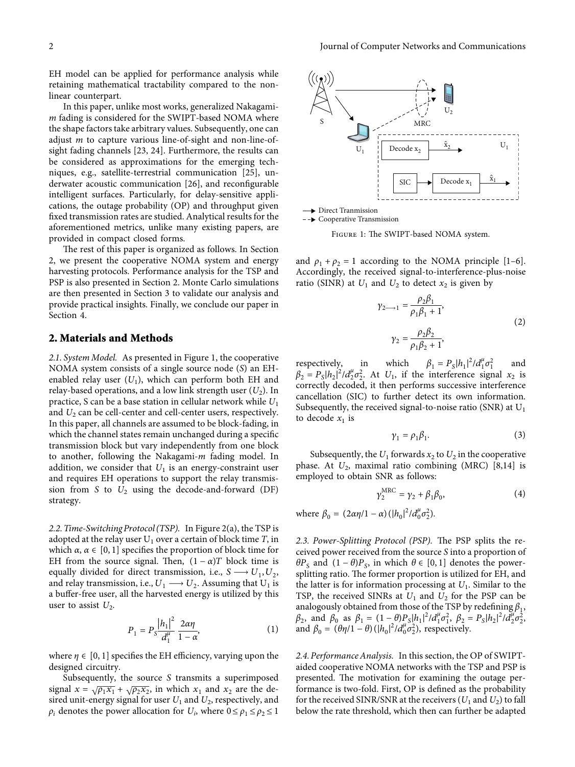<span id="page-1-0"></span>EH model can be applied for performance analysis while retaining mathematical tractability compared to the nonlinear counterpart.

In this paper, unlike most works, generalized Nakagami*m* fading is considered for the SWIPT-based NOMA where the shape factors take arbitrary values. Subsequently, one can adjust *m* to capture various line-of-sight and non-line-ofsight fading channels [[23, 24](#page-6-0)]. Furthermore, the results can be considered as approximations for the emerging techniques, e.g., satellite-terrestrial communication [\[25\]](#page-6-0), underwater acoustic communication [\[26\]](#page-6-0), and reconfigurable intelligent surfaces. Particularly, for delay-sensitive applications, the outage probability (OP) and throughput given fixed transmission rates are studied. Analytical results for the aforementioned metrics, unlike many existing papers, are provided in compact closed forms.

The rest of this paper is organized as follows. In Section 2, we present the cooperative NOMA system and energy harvesting protocols. Performance analysis for the TSP and PSP is also presented in Section 2. Monte Carlo simulations are then presented in Section [3](#page-3-0) to validate our analysis and provide practical insights. Finally, we conclude our paper in Section [4](#page-3-0).

## **2. Materials and Methods**

*2.1. System Model.* As presented in Figure 1, the cooperative NOMA system consists of a single source node (*S*) an EHenabled relay user  $(U_1)$ , which can perform both EH and relay-based operations, and a low link strength user  $(U_2)$ . In practice, S can be a base station in cellular network while *U*<sup>1</sup> and  $U_2$  can be cell-center and cell-center users, respectively. In this paper, all channels are assumed to be block-fading, in which the channel states remain unchanged during a specific transmission block but vary independently from one block to another, following the Nakagami-*m* fading model. In addition, we consider that  $U_1$  is an energy-constraint user and requires EH operations to support the relay transmission from *S* to *U*<sup>2</sup> using the decode-and-forward (DF) strategy.

*2.2. Time-Switching Protocol (TSP).* In Figure [2\(a\),](#page-2-0) the TSP is adopted at the relay user  $U_1$  over a certain of block time  $T$ , in which  $\alpha$ ,  $\alpha \in [0, 1]$  specifies the proportion of block time for EH from the source signal. Then,  $(1 - \alpha)T$  block time is equally divided for direct transmission, i.e.,  $S \rightarrow U_1, U_2$ , and relay transmission, i.e.,  $U_1 \longrightarrow U_2$ . Assuming that  $U_1$  is a buffer-free user, all the harvested energy is utilized by this user to assist  $U_2$ .

$$
P_1 = P_S \frac{|h_1|^2}{d_1^{\mu}} \frac{2\alpha \eta}{1 - \alpha},
$$
 (1)

where  $\eta \in [0, 1]$  specifies the EH efficiency, varying upon the designed circuitry.

Subsequently, the source *S* transmits a superimposed signal  $x = \sqrt{\rho_1 x_1} + \sqrt{\rho_2 x_2}$ , in which  $x_1$  and  $x_2$  are the desired unit-energy signal for user  $U_1$  and  $U_2$ , respectively, and  $\rho_i$  denotes the power allocation for  $U_i$ , where  $0 \le \rho_1 \le \rho_2 \le 1$ 



-- Cooperative Transmission

FIGURE 1: The SWIPT-based NOMA system.

and  $\rho_1 + \rho_2 = 1$  according to the NOMA principle [\[1](#page-5-0)–[6](#page-5-0)]. Accordingly, the received signal-to-interference-plus-noise ratio (SINR) at  $U_1$  and  $U_2$  to detect  $x_2$  is given by

$$
\gamma_{2 \to 1} = \frac{\rho_2 \beta_1}{\rho_1 \beta_1 + 1},
$$
  
\n
$$
\gamma_2 = \frac{\rho_2 \beta_2}{\rho_1 \beta_2 + 1},
$$
\n(2)

respectively, in which  $\beta_1 = P_s |h_1|^2 / d_1^{\mu} \sigma_1^2$ and  $\beta_2 = P_s |h_2|^2 / d_2^{\mu} \sigma_2^2$ . At *U*<sub>1</sub>, if the interference signal *x*<sub>2</sub> is correctly decoded, it then performs successive interference cancellation (SIC) to further detect its own information. Subsequently, the received signal-to-noise ratio (SNR) at  $U_1$ to decode  $x_1$  is

$$
\gamma_1 = \rho_1 \beta_1. \tag{3}
$$

Subsequently, the  $U_1$  forwards  $x_2$  to  $U_2$  in the cooperative phase. At  $U_2$ , maximal ratio combining (MRC) [\[8,14\]](#page-5-0) is employed to obtain SNR as follows:

$$
\gamma_2^{\text{MRC}} = \gamma_2 + \beta_1 \beta_0,\tag{4}
$$

where  $\beta_0 = (2\alpha\eta/1 - \alpha)(|h_0|^2/d_0^{\mu}\sigma_2^2)$ .

2.3. Power-Splitting Protocol (PSP). The PSP splits the received power received from the source *S* into a proportion of *θP*<sub>S</sub> and  $(1 − θ)P$ <sub>S</sub>, in which  $θ ∈ [0, 1]$  denotes the powersplitting ratio. The former proportion is utilized for EH, and the latter is for information processing at  $U_1$ . Similar to the TSP, the received SINRs at  $U_1$  and  $U_2$  for the PSP can be analogously obtained from those of the TSP by redefining  $\beta_1$ , *β*<sub>2</sub>, and *β*<sup>0</sup> as *β*<sub>1</sub> = (1 − *θ*)*P<sub>S</sub>*|*h*<sub>1</sub>|<sup>2</sup>/*d*<sup>*μ*</sup><sub>*β*<sup>2</sup>, *β*<sub>2</sub> = *P<sub>S</sub>*|*h*<sub>2</sub>|<sup>2</sup>/*d*<sup>*μ*</sup><sub>*4*</sub><sup>2</sup>/<sub>2</sub><sub>*3*</sub></sup>.</sub> and  $\beta_0 = (\theta \eta/1 - \theta) (\vert h_0 \vert^2 / d_0^{\mu} \sigma_2^2)$ , respectively.

*2.4. Performance Analysis.* In this section, the OP of SWIPTaided cooperative NOMA networks with the TSP and PSP is presented. The motivation for examining the outage performance is two-fold. First, OP is defined as the probability for the received SINR/SNR at the receivers  $(U_1 \text{ and } U_2)$  to fall below the rate threshold, which then can further be adapted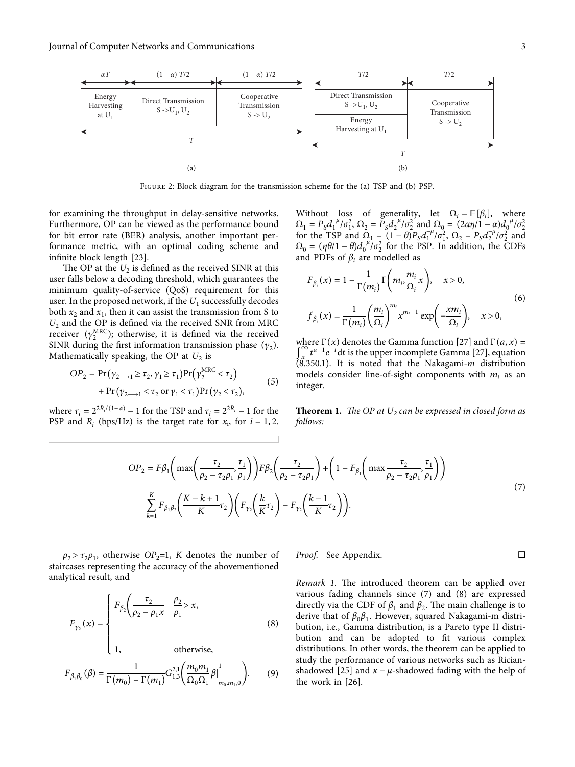<span id="page-2-0"></span>

Figure 2: Block diagram for the transmission scheme for the (a) TSP and (b) PSP.

for examining the throughput in delay-sensitive networks. Furthermore, OP can be viewed as the performance bound for bit error rate (BER) analysis, another important performance metric, with an optimal coding scheme and infinite block length [\[23\]](#page-6-0).

The OP at the  $U_2$  is defined as the received SINR at this user falls below a decoding threshold, which guarantees the minimum quality-of-service (QoS) requirement for this user. In the proposed network, if the  $U_1$  successfully decodes both  $x_2$  and  $x_1$ , then it can assist the transmission from S to *U*<sup>2</sup> and the OP is defined via the received SNR from MRC receiver  $(\gamma_2^{\text{MRC}})$ ; otherwise, it is defined via the received SINR during the first information transmission phase  $(\gamma_2)$ . Mathematically speaking, the OP at  $U_2$  is

$$
OP_2 = \Pr(\gamma_{2\to 1} \ge \tau_2, \gamma_1 \ge \tau_1) \Pr(\gamma_2^{\text{MRC}} < \tau_2) + \Pr(\gamma_{2\to 1} < \tau_2 \text{ or } \gamma_1 < \tau_1) \Pr(\gamma_2 < \tau_2),
$$
 (5)

where  $\tau_i = 2^{2R_i/(1-\alpha)} - 1$  for the TSP and  $\tau_i = 2^{2R_i} - 1$  for the PSP and  $R_i$  (bps/Hz) is the target rate for  $x_i$ , for  $i = 1, 2$ .

Without loss of generality, let  $\Omega_i = \mathbb{E}[\beta_i]$ , where  $\Omega_1 = P_S d_1^{-\mu}/\sigma_1^2$ ,  $\Omega_2 = P_S d_2^{-\mu}/\sigma_2^2$  and  $\Omega_0 = (2\alpha \eta/1 - \alpha) d_0^{-\mu}/\sigma_2^2$ for the TSP and  $\Omega_1 = (1 - \theta)P_S d_1^{-\mu} / \sigma_1^2$ ,  $\Omega_2 = P_S d_2^{-\mu} / \sigma_2^2$  and  $\Omega_0 = (\eta \theta/1 - \theta) d_0^{-\mu} / \sigma_2^2$  for the PSP. In addition, the CDFs and PDFs of  $\beta$ *i* are modelled as

$$
F_{\beta_i}(x) = 1 - \frac{1}{\Gamma(m_i)} \Gamma\left(m_i, \frac{m_i}{\Omega_i} x\right), \quad x > 0,
$$
  

$$
f_{\beta_i}(x) = \frac{1}{\Gamma(m_i)} \left(\frac{m_i}{\Omega_i}\right)^{m_i} x^{m_i - 1} \exp\left(-\frac{x m_i}{\Omega_i}\right), \quad x > 0,
$$
 (6)

where  $\Gamma(x)$  denotes the Gamma function [[27](#page-6-0)] and  $\Gamma(a, x)$  =  $\int_{x}^{\infty} t^{a-1} e^{-t} dt$  is the upper incomplete Gamma [[27](#page-6-0)], equation (8.350.1). It is noted that the Nakagami-*m* distribution models consider line-of-sight components with  $m_i$  as an integer.

**Theorem 1.** *The OP at*  $U_2$  *can be expressed in closed form as follows:*

$$
OP_{2} = F\beta_{1} \left( \max\left(\frac{\tau_{2}}{\rho_{2} - \tau_{2}\rho_{1}}, \frac{\tau_{1}}{\rho_{1}}\right) \right) F\beta_{2} \left(\frac{\tau_{2}}{\rho_{2} - \tau_{2}\rho_{1}}\right) + \left(1 - F_{\beta_{1}} \left(\max\frac{\tau_{2}}{\rho_{2} - \tau_{2}\rho_{1}}, \frac{\tau_{1}}{\rho_{1}}\right) \right)
$$
  

$$
\sum_{k=1}^{K} F_{\beta_{1}\beta_{2}} \left(\frac{K - k + 1}{K} \tau_{2}\right) \left(F_{\gamma_{2}} \left(\frac{k}{K} \tau_{2}\right) - F_{\gamma_{2}} \left(\frac{k - 1}{K} \tau_{2}\right)\right).
$$
 (7)

 $\rho_2 > \tau_2 \rho_1$ , otherwise *OP*<sub>2</sub>=1, *K* denotes the number of staircases representing the accuracy of the abovementioned analytical result, and

$$
F_{\gamma_2}(x) = \begin{cases} F_{\beta_2} \left( \frac{\tau_2}{\rho_2 - \rho_1 x} & \frac{\rho_2}{\rho_1} > x, \\ & \\ 1, & \text{otherwise,} \end{cases}
$$
 (8)

$$
F_{\beta_1\beta_0}(\beta) = \frac{1}{\Gamma(m_0) - \Gamma(m_1)} G_{1,3}^{2,1} \left( \frac{m_0 m_1}{\Omega_0 \Omega_1} \beta \Big|_{m_0, m_1, 0}^1 \right). \tag{9}
$$

*Proof.* See Appendix. □

*Remark 1.* The introduced theorem can be applied over various fading channels since (7) and (8) are expressed directly via the CDF of  $\beta_1$  and  $\beta_2$ . The main challenge is to derive that of *β*0*β*1. However, squared Nakagami-m distribution, i.e., Gamma distribution, is a Pareto type II distribution and can be adopted to fit various complex distributions. In other words, the theorem can be applied to study the performance of various networks such as Rician-shadowed [\[25\]](#page-6-0) and  $\kappa - \mu$ -shadowed fading with the help of the work in [[26](#page-6-0)].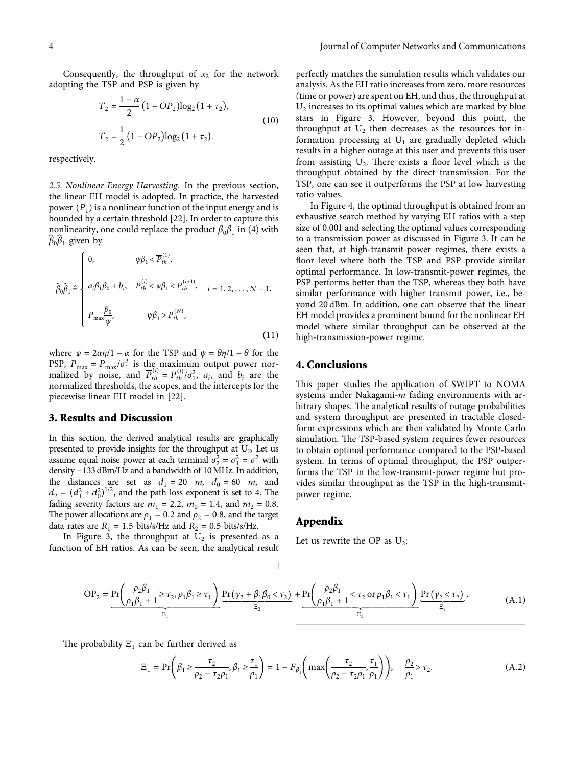<span id="page-3-0"></span>Consequently, the throughput of  $x_2$  for the network adopting the TSP and PSP is given by

$$
T_2 = \frac{1 - \alpha}{2} (1 - OP_2) \log_2 (1 + \tau_2),
$$
  
\n
$$
T_2 = \frac{1}{2} (1 - OP_2) \log_2 (1 + \tau_2).
$$
\n(10)

respectively.

*2.5. Nonlinear Energy Harvesting.* In the previous section, the linear EH model is adopted. In practice, the harvested power  $(P_1)$  is a nonlinear function of the input energy and is bounded by a certain threshold [[22\]](#page-6-0). In order to capture this nonlinearity, one could replace the product  $\beta_0\beta_1$  in [\(4](#page-1-0)) with  $\widehat{\beta}_0 \widehat{\beta}_1$  given by

$$
\hat{\beta}_0 \hat{\beta}_1 \triangleq \begin{cases}\n0, & \psi \beta_1 < \overline{P}_{th}^{(1)}, \\
a_i \beta_1 \beta_0 + b_i, & \overline{P}_{th}^{(i)} < \psi \beta_1 < \overline{P}_{th}^{(i+1)}, \\
\overline{P}_{\text{max}} \frac{\beta_0}{\psi}, & \psi \beta_1 > \overline{P}_{th}^{(N)},\n\end{cases} \tag{11}
$$

where  $\psi = 2\alpha\eta/1 - \alpha$  for the TSP and  $\psi = \theta\eta/1 - \theta$  for the PSP,  $\overline{P}_{\text{max}} = P_{\text{max}} / \sigma_1^2$  is the maximum output power nor-<br>malized by noise, and  $\overline{P}_{th}^{(i)} = P_{th}^{(i)} / \sigma_1^2$ ,  $a_i$ , and  $b_i$  are the normalized thresholds, the scopes, and the intercepts for the piecewise linear EH model in [[22](#page-6-0)].

#### **3. Results and Discussion**

In this section, the derived analytical results are graphically presented to provide insights for the throughput at  $U_2$ . Let us assume equal noise power at each terminal  $\sigma_2^2 = \sigma_1^2 = \sigma^2$  with density −133 dBm/Hz and a bandwidth of 10MHz. In addition, the distances are set as  $d_1 = 20$  *m*,  $d_0 = 60$  *m*, and  $d_2 = (d_1^2 + d_0^2)^{1/2}$ , and the path loss exponent is set to 4. The fading severity factors are  $m_1 = 2.2$ ,  $m_0 = 1.4$ , and  $m_2 = 0.8$ . The power allocations are  $\rho_1 = 0.2$  and  $\rho_2 = 0.8$ , and the target data rates are  $R_1 = 1.5$  bits/s/Hz and  $R_2 = 0.5$  bits/s/Hz.

In Figure [3](#page-4-0), the throughput at  $U_2$  is presented as a function of EH ratios. As can be seen, the analytical result

perfectly matches the simulation results which validates our analysis. As the EH ratio increases from zero, more resources (time or power) are spent on EH, and thus, the throughput at  $U_2$  increases to its optimal values which are marked by blue stars in Figure [3](#page-4-0). However, beyond this point, the throughput at  $U_2$  then decreases as the resources for information processing at  $U_1$  are gradually depleted which results in a higher outage at this user and prevents this user from assisting  $U_2$ . There exists a floor level which is the throughput obtained by the direct transmission. For the TSP, one can see it outperforms the PSP at low harvesting ratio values.

In Figure [4](#page-4-0), the optimal throughput is obtained from an exhaustive search method by varying EH ratios with a step size of 0.001 and selecting the optimal values corresponding to a transmission power as discussed in Figure [3.](#page-4-0) It can be seen that, at high-transmit-power regimes, there exists a floor level where both the TSP and PSP provide similar optimal performance. In low-transmit-power regimes, the PSP performs better than the TSP, whereas they both have similar performance with higher transmit power, i.e., beyond 20 dBm. In addition, one can observe that the linear EH model provides a prominent bound for the nonlinear EH model where similar throughput can be observed at the high-transmission-power regime.

## **4. Conclusions**

This paper studies the application of SWIPT to NOMA systems under Nakagami-*m* fading environments with arbitrary shapes. The analytical results of outage probabilities and system throughput are presented in tractable closedform expressions which are then validated by Monte Carlo simulation. The TSP-based system requires fewer resources to obtain optimal performance compared to the PSP-based system. In terms of optimal throughput, the PSP outperforms the TSP in the low-transmit-power regime but provides similar throughput as the TSP in the high-transmitpower regime.

#### **Appendix**

Let us rewrite the OP as  $U_2$ :

$$
OP_{2} = \underbrace{Pr\left(\frac{\rho_{2}\beta_{1}}{\rho_{1}\beta_{1} + 1} \geq \tau_{2}, \rho_{1}\beta_{1} \geq \tau_{1}\right)}_{\Xi_{1}} \underbrace{Pr\left(\gamma_{2} + \beta_{1}\beta_{0} < \tau_{2}\right)}_{\Xi_{2}} + \underbrace{Pr\left(\frac{\rho_{2}\beta_{1}}{\rho_{1}\beta_{1} + 1} < \tau_{2} \text{ or } \rho_{1}\beta_{1} < \tau_{1}\right)}_{\Xi_{3}} \underbrace{Pr\left(\gamma_{2} < \tau_{2}\right)}_{\Xi_{4}}.
$$
\n(A.1)

The probability  $E_1$  can be further derived as

$$
\Xi_1 = \Pr\left(\beta_1 \ge \frac{\tau_2}{\rho_2 - \tau_2 \rho_1}, \beta_1 \ge \frac{\tau_1}{\rho_1}\right) = 1 - F_{\beta_1}\left(\max\left(\frac{\tau_2}{\rho_2 - \tau_2 \rho_1}, \frac{\tau_1}{\rho_1}\right)\right), \quad \frac{\rho_2}{\rho_1} > \tau_2.
$$
\n(A.2)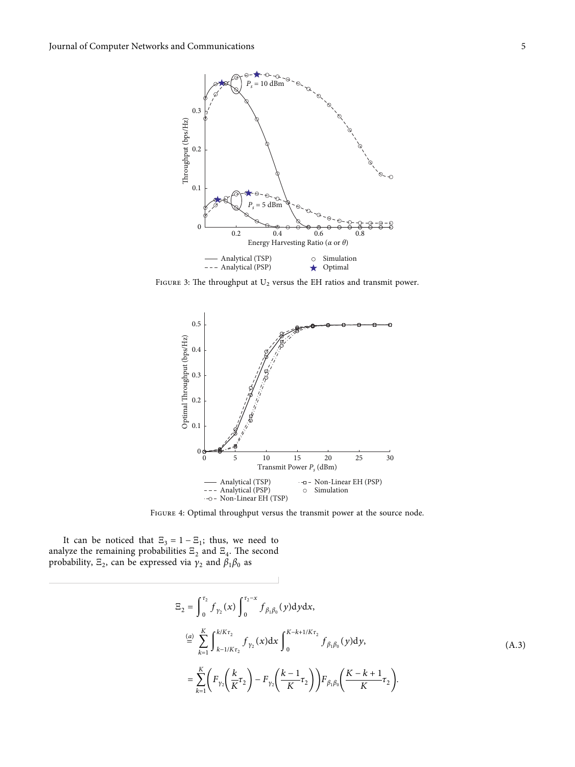<span id="page-4-0"></span>

FIGURE 3: The throughput at  $U_2$  versus the EH ratios and transmit power.



Figure 4: Optimal throughput versus the transmit power at the source node.

It can be noticed that  $\Xi_3 = 1 - \Xi_1$ ; thus, we need to analyze the remaining probabilities  $\Xi_2$  and  $\Xi_4$ . The second probability,  $E_2$ , can be expressed via  $\gamma_2$  and  $\beta_1\beta_0$  as

$$
E_{2} = \int_{0}^{\tau_{2}} f_{\gamma_{2}}(x) \int_{0}^{\tau_{2}-x} f_{\beta_{1}\beta_{0}}(y) dy dx,
$$
  
\n
$$
\stackrel{(a)}{=} \sum_{k=1}^{K} \int_{k-1/K\tau_{2}}^{k/K\tau_{2}} f_{\gamma_{2}}(x) dx \int_{0}^{K-k+1/K\tau_{2}} f_{\beta_{1}\beta_{0}}(y) dy,
$$
  
\n
$$
= \sum_{k=1}^{K} \left( F_{\gamma_{2}} \left( \frac{k}{K} \tau_{2} \right) - F_{\gamma_{2}} \left( \frac{k-1}{K} \tau_{2} \right) \right) F_{\beta_{1}\beta_{0}} \left( \frac{K-k+1}{K} \tau_{2} \right).
$$
\n(A.3)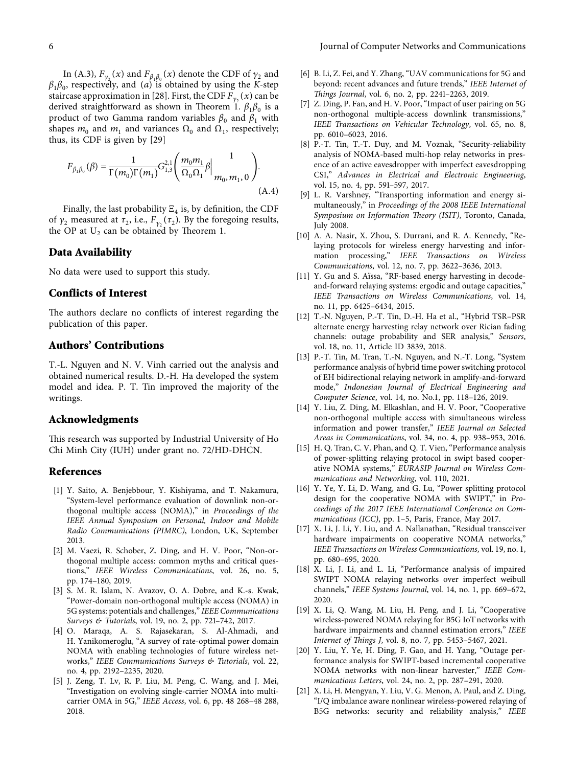<span id="page-5-0"></span>In ([A.3\)](#page-4-0),  $F_{\gamma_2}(x)$  and  $F_{\beta_1\beta_0}(x)$  denote the CDF of  $\gamma_2$  and *β*1*β*0, respectively, and (*a*) is obtained by using the *K*-step staircase approximation in [[28\]](#page-6-0). First, the CDF  $F_{\gamma_2}(x)$  can be derived straightforward as shown in Theorem [1](#page-2-0).  $\beta_1\beta_0$  is a product of two Gamma random variables  $\beta_0$  and  $\beta_1$  with shapes  $m_0$  and  $m_1$  and variances  $\Omega_0$  and  $\Omega_1$ , respectively; thus, its CDF is given by [\[29\]](#page-6-0)

$$
F_{\beta_1 \beta_0}(\beta) = \frac{1}{\Gamma(m_0)\Gamma(m_1)} G_{1,3}^{2,1} \left( \frac{m_0 m_1}{\Omega_0 \Omega_1} \beta \Big|_{m_0, m_1, 0}^{1} \right). \tag{A.4}
$$

Finally, the last probability  $\Xi_4$  is, by definition, the CDF of  $γ_2$  measured at  $τ_2$ , i.e.,  $F_{γ_2}(τ_2)$ . By the foregoing results, the OP at  $U_2$  can be obtained by Theorem 1.

#### **Data Availability**

No data were used to support this study.

## **Conflicts of Interest**

The authors declare no conflicts of interest regarding the publication of this paper.

## **Authors' Contributions**

T.-L. Nguyen and N. V. Vinh carried out the analysis and obtained numerical results. D.-H. Ha developed the system model and idea. P. T. Tin improved the majority of the writings.

## **Acknowledgments**

This research was supported by Industrial University of Ho Chi Minh City (IUH) under grant no. 72/HD-DHCN.

## **References**

- [1] Y. Saito, A. Benjebbour, Y. Kishiyama, and T. Nakamura, "System-level performance evaluation of downlink non-orthogonal multiple access (NOMA)," in *Proceedings of the IEEE Annual Symposium on Personal, Indoor and Mobile Radio Communications (PIMRC)*, London, UK, September 2013.
- [2] M. Vaezi, R. Schober, Z. Ding, and H. V. Poor, "Non-orthogonal multiple access: common myths and critical questions," *IEEE Wireless Communications*, vol. 26, no. 5, pp. 174–180, 2019.
- [3] S. M. R. Islam, N. Avazov, O. A. Dobre, and K.-s. Kwak, "Power-domain non-orthogonal multiple access (NOMA) in 5G systems: potentials and challenges," *IEEE Communications Surveys & Tutorials*, vol. 19, no. 2, pp. 721–742, 2017.
- [4] O. Maraqa, A. S. Rajasekaran, S. Al-Ahmadi, and H. Yanikomeroglu, "A survey of rate-optimal power domain NOMA with enabling technologies of future wireless networks," *IEEE Communications Surveys & Tutorials*, vol. 22, no. 4, pp. 2192–2235, 2020.
- [5] J. Zeng, T. Lv, R. P. Liu, M. Peng, C. Wang, and J. Mei, "Investigation on evolving single-carrier NOMA into multicarrier OMA in 5G," *IEEE Access*, vol. 6, pp. 48 268–48 288, 2018.
- [6] B. Li, Z. Fei, and Y. Zhang, "UAV communications for 5G and beyond: recent advances and future trends," *IEEE Internet of 'ings Journal*, vol. 6, no. 2, pp. 2241–2263, 2019.
- [7] Z. Ding, P. Fan, and H. V. Poor, "Impact of user pairing on 5G non-orthogonal multiple-access downlink transmissions," *IEEE Transactions on Vehicular Technology*, vol. 65, no. 8, pp. 6010–6023, 2016.
- [8] P.-T. Tin, T.-T. Duy, and M. Voznak, "Security-reliability analysis of NOMA-based multi-hop relay networks in presence of an active eavesdropper with imperfect eavesdropping CSI," *Advances in Electrical and Electronic Engineering*, vol. 15, no. 4, pp. 591–597, 2017.
- [9] L. R. Varshney, "Transporting information and energy simultaneously," in *Proceedings of the 2008 IEEE International Symposium on Information Theory (ISIT)*, Toronto, Canada, July 2008.
- [10] A. A. Nasir, X. Zhou, S. Durrani, and R. A. Kennedy, "Relaying protocols for wireless energy harvesting and information processing," *IEEE Transactions on Wireless Communications*, vol. 12, no. 7, pp. 3622–3636, 2013.
- [11] Y. Gu and S. Aïssa, "RF-based energy harvesting in decodeand-forward relaying systems: ergodic and outage capacities," *IEEE Transactions on Wireless Communications*, vol. 14, no. 11, pp. 6425–6434, 2015.
- [12] T.-N. Nguyen, P.-T. Tin, D.-H. Ha et al., "Hybrid TSR–PSR alternate energy harvesting relay network over Rician fading channels: outage probability and SER analysis," *Sensors*, vol. 18, no. 11, Article ID 3839, 2018.
- [13] P.-T. Tin, M. Tran, T.-N. Nguyen, and N.-T. Long, "System performance analysis of hybrid time power switching protocol of EH bidirectional relaying network in amplify-and-forward mode," *Indonesian Journal of Electrical Engineering and Computer Science*, vol. 14, no. No.1, pp. 118–126, 2019.
- [14] Y. Liu, Z. Ding, M. Elkashlan, and H. V. Poor, "Cooperative non-orthogonal multiple access with simultaneous wireless information and power transfer," *IEEE Journal on Selected Areas in Communications*, vol. 34, no. 4, pp. 938–953, 2016.
- [15] H. Q. Tran, C. V. Phan, and Q. T. Vien, "Performance analysis of power-splitting relaying protocol in swipt based cooperative NOMA systems," *EURASIP Journal on Wireless Communications and Networking*, vol. 110, 2021.
- [16] Y. Ye, Y. Li, D. Wang, and G. Lu, "Power splitting protocol design for the cooperative NOMA with SWIPT," in *Proceedings of the 2017 IEEE International Conference on Communications (ICC)*, pp. 1–5, Paris, France, May 2017.
- [17] X. Li, J. Li, Y. Liu, and A. Nallanathan, "Residual transceiver hardware impairments on cooperative NOMA networks," *IEEE Transactions on Wireless Communications*, vol. 19, no. 1, pp. 680–695, 2020.
- [18] X. Li, J. Li, and L. Li, "Performance analysis of impaired SWIPT NOMA relaying networks over imperfect weibull channels," *IEEE Systems Journal*, vol. 14, no. 1, pp. 669–672, 2020.
- [19] X. Li, Q. Wang, M. Liu, H. Peng, and J. Li, "Cooperative wireless-powered NOMA relaying for B5G IoT networks with hardware impairments and channel estimation errors," *IEEE Internet of 'ings J*, vol. 8, no. 7, pp. 5453–5467, 2021.
- [20] Y. Liu, Y. Ye, H. Ding, F. Gao, and H. Yang, "Outage performance analysis for SWIPT-based incremental cooperative NOMA networks with non-linear harvester," *IEEE Communications Letters*, vol. 24, no. 2, pp. 287–291, 2020.
- [21] X. Li, H. Mengyan, Y. Liu, V. G. Menon, A. Paul, and Z. Ding, "I/Q imbalance aware nonlinear wireless-powered relaying of B5G networks: security and reliability analysis," *IEEE*